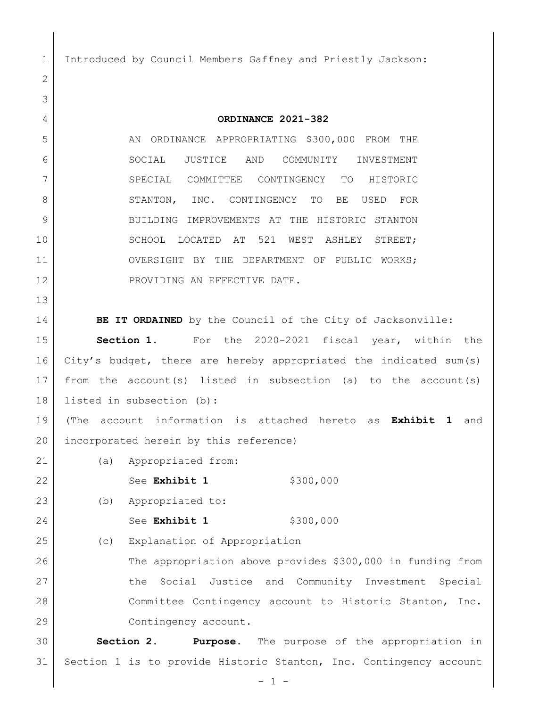Introduced by Council Members Gaffney and Priestly Jackson:

 **ORDINANCE 2021-382** 5 AN ORDINANCE APPROPRIATING \$300,000 FROM THE SOCIAL JUSTICE AND COMMUNITY INVESTMENT SPECIAL COMMITTEE CONTINGENCY TO HISTORIC 8 STANTON, INC. CONTINGENCY TO BE USED FOR 9 BUILDING IMPROVEMENTS AT THE HISTORIC STANTON 10 SCHOOL LOCATED AT 521 WEST ASHLEY STREET; OVERSIGHT BY THE DEPARTMENT OF PUBLIC WORKS; 12 PROVIDING AN EFFECTIVE DATE. **BE IT ORDAINED** by the Council of the City of Jacksonville: **Section 1.** For the 2020-2021 fiscal year, within the City's budget, there are hereby appropriated the indicated sum(s) from the account(s) listed in subsection (a) to the account(s) listed in subsection (b): (The account information is attached hereto as **Exhibit 1** and 20 incorporated herein by this reference) (a) Appropriated from: 22 See **Exhibit 1** \$300,000 (b) Appropriated to: 24 See **Exhibit 1** \$300,000 (c) Explanation of Appropriation The appropriation above provides \$300,000 in funding from 27 | The Social Justice and Community Investment Special Committee Contingency account to Historic Stanton, Inc. 29 Contingency account. **Section 2. Purpose.** The purpose of the appropriation in Section 1 is to provide Historic Stanton, Inc. Contingency account

- 1 -